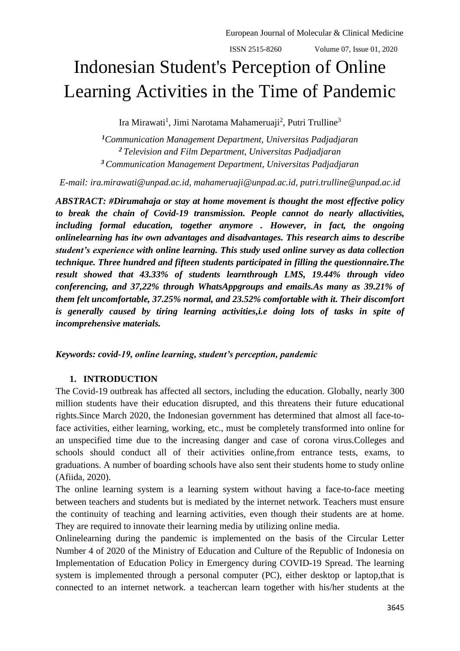$ISSN 2515-8260$  Volume 07, Issue 01, 2020

# Indonesian Student's Perception of Online Learning Activities in the Time of Pandemic

Ira Mirawati<sup>1</sup>, Jimi Narotama Mahameruaji<sup>2</sup>, Putri Trulline<sup>3</sup>

*<sup>1</sup>Communication Management Department, Universitas Padjadjaran <sup>2</sup>Television and Film Department, Universitas Padjadjaran <sup>3</sup>Communication Management Department, Universitas Padjadjaran* 

*E-mail: [ira.mirawati@unpad.ac.id, mahameruaji@unpad.ac.id,](mailto:ira.mirawati@unpad.ac.id) [putri.trulline@unpad.ac.id](mailto:putri.trulline@unpad.ac.id)*

*ABSTRACT: #Dirumahaja or stay at home movement is thought the most effective policy to break the chain of Covid-19 transmission. People cannot do nearly allactivities, including formal education, together anymore . However, in fact, the ongoing onlinelearning has itw own advantages and disadvantages. This research aims to describe student's experience with online learning. This study used online survey as data collection technique. Three hundred and fifteen students participated in filling the questionnaire.The result showed that 43.33% of students learnthrough LMS, 19.44% through video conferencing, and 37,22% through WhatsAppgroups and emails.As many as 39.21% of them felt uncomfortable, 37.25% normal, and 23.52% comfortable with it. Their discomfort*  is generally caused by tiring learning activities, i.e doing lots of tasks in spite of *incomprehensive materials.*

#### *Keywords: covid-19, online learning, student's perception, pandemic*

#### **1. INTRODUCTION**

The Covid-19 outbreak has affected all sectors, including the education. Globally, nearly 300 million students have their education disrupted, and this threatens their future educational rights.Since March 2020, the Indonesian government has determined that almost all face-toface activities, either learning, working, etc., must be completely transformed into online for an unspecified time due to the increasing danger and case of corona virus.Colleges and schools should conduct all of their activities online,from entrance tests, exams, to graduations. A number of boarding schools have also sent their students home to study online (Afiida, 2020).

The online learning system is a learning system without having a face-to-face meeting between teachers and students but is mediated by the internet network. Teachers must ensure the continuity of teaching and learning activities, even though their students are at home. They are required to innovate their learning media by utilizing online media.

Onlinelearning during the pandemic is implemented on the basis of the Circular Letter Number 4 of 2020 of the Ministry of Education and Culture of the Republic of Indonesia on Implementation of Education Policy in Emergency during COVID-19 Spread. The learning system is implemented through a personal computer (PC), either desktop or laptop,that is connected to an internet network. a teachercan learn together with his/her students at the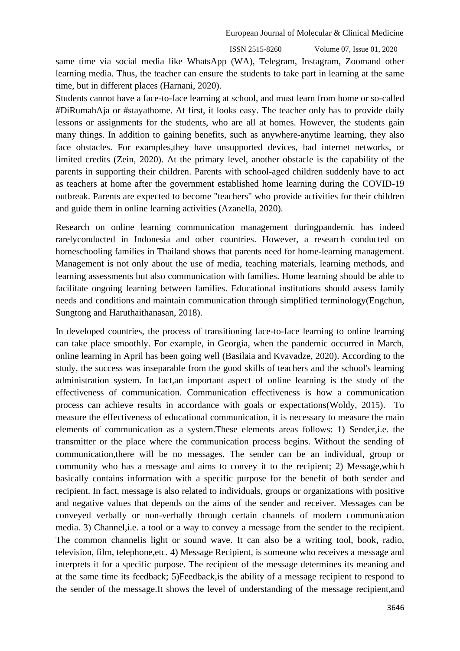$ISSN 2515-8260$  Volume 07, Issue 01, 2020

same time via social media like WhatsApp (WA), Telegram, Instagram, Zoomand other learning media. Thus, the teacher can ensure the students to take part in learning at the same time, but in different places (Harnani, 2020).

Students cannot have a face-to-face learning at school, and must learn from home or so-called #DiRumahAja or #stayathome. At first, it looks easy. The teacher only has to provide daily lessons or assignments for the students, who are all at homes. However, the students gain many things. In addition to gaining benefits, such as anywhere-anytime learning, they also face obstacles. For examples,they have unsupported devices, bad internet networks, or limited credits (Zein, 2020). At the primary level, another obstacle is the capability of the parents in supporting their children. Parents with school-aged children suddenly have to act as teachers at home after the government established home learning during the COVID-19 outbreak. Parents are expected to become "teachers" who provide activities for their children and guide them in online learning activities (Azanella, 2020).

Research on online learning communication management duringpandemic has indeed rarelyconducted in Indonesia and other countries. However, a research conducted on homeschooling families in Thailand shows that parents need for home-learning management. Management is not only about the use of media, teaching materials, learning methods, and learning assessments but also communication with families. Home learning should be able to facilitate ongoing learning between families. Educational institutions should assess family needs and conditions and maintain communication through simplified terminology(Engchun, Sungtong and Haruthaithanasan, 2018).

In developed countries, the process of transitioning face-to-face learning to online learning can take place smoothly. For example, in Georgia, when the pandemic occurred in March, online learning in April has been going well (Basilaia and Kvavadze, 2020). According to the study, the success was inseparable from the good skills of teachers and the school's learning administration system. In fact,an important aspect of online learning is the study of the effectiveness of communication. Communication effectiveness is how a communication process can achieve results in accordance with goals or expectations(Woldy, 2015). To measure the effectiveness of educational communication, it is necessary to measure the main elements of communication as a system.These elements areas follows: 1) Sender,i.e. the transmitter or the place where the communication process begins. Without the sending of communication,there will be no messages. The sender can be an individual, group or community who has a message and aims to convey it to the recipient; 2) Message,which basically contains information with a specific purpose for the benefit of both sender and recipient. In fact, message is also related to individuals, groups or organizations with positive and negative values that depends on the aims of the sender and receiver. Messages can be conveyed verbally or non-verbally through certain channels of modern communication media. 3) Channel,i.e. a tool or a way to convey a message from the sender to the recipient. The common channelis light or sound wave. It can also be a writing tool, book, radio, television, film, telephone,etc. 4) Message Recipient, is someone who receives a message and interprets it for a specific purpose. The recipient of the message determines its meaning and at the same time its feedback; 5)Feedback,is the ability of a message recipient to respond to the sender of the message.It shows the level of understanding of the message recipient,and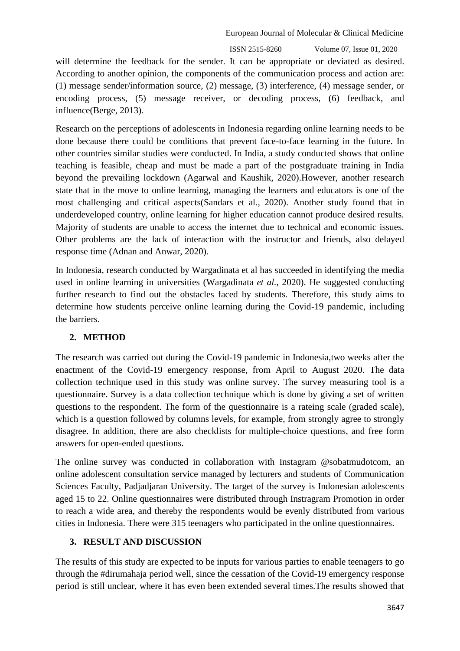ISSN 2515-8260 Volume 07, Issue 01, 2020

will determine the feedback for the sender. It can be appropriate or deviated as desired. According to another opinion, the components of the communication process and action are: (1) message sender/information source, (2) message, (3) interference, (4) message sender, or encoding process, (5) message receiver, or decoding process, (6) feedback, and influence(Berge, 2013).

Research on the perceptions of adolescents in Indonesia regarding online learning needs to be done because there could be conditions that prevent face-to-face learning in the future. In other countries similar studies were conducted. In India, a study conducted shows that online teaching is feasible, cheap and must be made a part of the postgraduate training in India beyond the prevailing lockdown (Agarwal and Kaushik, 2020).However, another research state that in the move to online learning, managing the learners and educators is one of the most challenging and critical aspects(Sandars et al., 2020). Another study found that in underdeveloped country, online learning for higher education cannot produce desired results. Majority of students are unable to access the internet due to technical and economic issues. Other problems are the lack of interaction with the instructor and friends, also delayed response time (Adnan and Anwar, 2020).

In Indonesia, research conducted by Wargadinata et al has succeeded in identifying the media used in online learning in universities (Wargadinata *et al.*, 2020). He suggested conducting further research to find out the obstacles faced by students. Therefore, this study aims to determine how students perceive online learning during the Covid-19 pandemic, including the barriers.

# **2. METHOD**

The research was carried out during the Covid-19 pandemic in Indonesia,two weeks after the enactment of the Covid-19 emergency response, from April to August 2020. The data collection technique used in this study was online survey. The survey measuring tool is a questionnaire. Survey is a data collection technique which is done by giving a set of written questions to the respondent. The form of the questionnaire is a rateing scale (graded scale), which is a question followed by columns levels, for example, from strongly agree to strongly disagree. In addition, there are also checklists for multiple-choice questions, and free form answers for open-ended questions.

The online survey was conducted in collaboration with Instagram @sobatmudotcom, an online adolescent consultation service managed by lecturers and students of Communication Sciences Faculty, Padjadjaran University. The target of the survey is Indonesian adolescents aged 15 to 22. Online questionnaires were distributed through Instragram Promotion in order to reach a wide area, and thereby the respondents would be evenly distributed from various cities in Indonesia. There were 315 teenagers who participated in the online questionnaires.

# **3. RESULT AND DISCUSSION**

The results of this study are expected to be inputs for various parties to enable teenagers to go through the #dirumahaja period well, since the cessation of the Covid-19 emergency response period is still unclear, where it has even been extended several times.The results showed that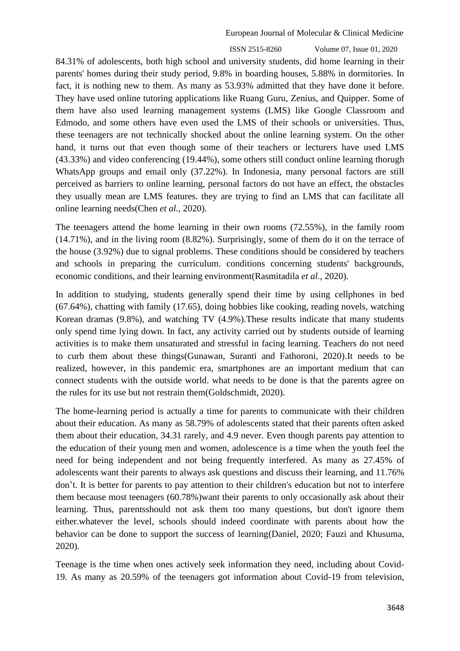$ISSN 2515-8260$  Volume 07, Issue 01, 2020

84.31% of adolescents, both high school and university students, did home learning in their parents' homes during their study period, 9.8% in boarding houses, 5.88% in dormitories. In fact, it is nothing new to them. As many as 53.93% admitted that they have done it before. They have used online tutoring applications like Ruang Guru, Zenius, and Quipper. Some of them have also used learning management systems (LMS) like Google Classroom and Edmodo, and some others have even used the LMS of their schools or universities. Thus, these teenagers are not technically shocked about the online learning system. On the other hand, it turns out that even though some of their teachers or lecturers have used LMS (43.33%) and video conferencing (19.44%), some others still conduct online learning thorugh WhatsApp groups and email only (37.22%). In Indonesia, many personal factors are still perceived as barriers to online learning, personal factors do not have an effect, the obstacles they usually mean are LMS features. they are trying to find an LMS that can facilitate all online learning needs(Chen *et al.*, 2020).

The teenagers attend the home learning in their own rooms (72.55%), in the family room (14.71%), and in the living room (8.82%). Surprisingly, some of them do it on the terrace of the house (3.92%) due to signal problems. These conditions should be considered by teachers and schools in preparing the curriculum. conditions concerning students' backgrounds, economic conditions, and their learning environment(Rasmitadila *et al.*, 2020).

In addition to studying, students generally spend their time by using cellphones in bed (67.64%), chatting with family (17.65), doing hobbies like cooking, reading novels, watching Korean dramas (9.8%), and watching TV (4.9%).These results indicate that many students only spend time lying down. In fact, any activity carried out by students outside of learning activities is to make them unsaturated and stressful in facing learning. Teachers do not need to curb them about these things(Gunawan, Suranti and Fathoroni, 2020).It needs to be realized, however, in this pandemic era, smartphones are an important medium that can connect students with the outside world. what needs to be done is that the parents agree on the rules for its use but not restrain them(Goldschmidt, 2020).

The home-learning period is actually a time for parents to communicate with their children about their education. As many as 58.79% of adolescents stated that their parents often asked them about their education, 34.31 rarely, and 4.9 never. Even though parents pay attention to the education of their young men and women, adolescence is a time when the youth feel the need for being independent and not being frequently interfered. As many as 27.45% of adolescents want their parents to always ask questions and discuss their learning, and 11.76% don't. It is better for parents to pay attention to their children's education but not to interfere them because most teenagers (60.78%)want their parents to only occasionally ask about their learning. Thus, parentsshould not ask them too many questions, but don't ignore them either.whatever the level, schools should indeed coordinate with parents about how the behavior can be done to support the success of learning(Daniel, 2020; Fauzi and Khusuma, 2020).

Teenage is the time when ones actively seek information they need, including about Covid-19. As many as 20.59% of the teenagers got information about Covid-19 from television,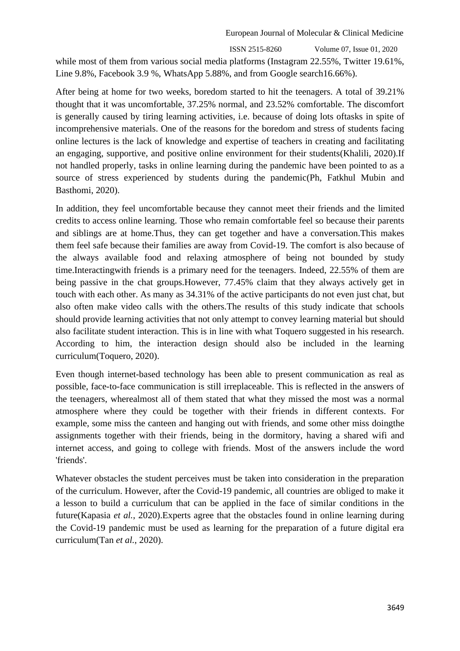$ISSN 2515-8260$  Volume 07, Issue 01, 2020

while most of them from various social media platforms (Instagram 22.55%, Twitter 19.61%, Line 9.8%, Facebook 3.9 %, WhatsApp 5.88%, and from Google search16.66%).

After being at home for two weeks, boredom started to hit the teenagers. A total of 39.21% thought that it was uncomfortable, 37.25% normal, and 23.52% comfortable. The discomfort is generally caused by tiring learning activities, i.e. because of doing lots oftasks in spite of incomprehensive materials. One of the reasons for the boredom and stress of students facing online lectures is the lack of knowledge and expertise of teachers in creating and facilitating an engaging, supportive, and positive online environment for their students(Khalili, 2020).If not handled properly, tasks in online learning during the pandemic have been pointed to as a source of stress experienced by students during the pandemic(Ph, Fatkhul Mubin and Basthomi, 2020).

In addition, they feel uncomfortable because they cannot meet their friends and the limited credits to access online learning. Those who remain comfortable feel so because their parents and siblings are at home.Thus, they can get together and have a conversation.This makes them feel safe because their families are away from Covid-19. The comfort is also because of the always available food and relaxing atmosphere of being not bounded by study time.Interactingwith friends is a primary need for the teenagers. Indeed, 22.55% of them are being passive in the chat groups.However, 77.45% claim that they always actively get in touch with each other. As many as 34.31% of the active participants do not even just chat, but also often make video calls with the others.The results of this study indicate that schools should provide learning activities that not only attempt to convey learning material but should also facilitate student interaction. This is in line with what Toquero suggested in his research. According to him, the interaction design should also be included in the learning curriculum(Toquero, 2020).

Even though internet-based technology has been able to present communication as real as possible, face-to-face communication is still irreplaceable. This is reflected in the answers of the teenagers, wherealmost all of them stated that what they missed the most was a normal atmosphere where they could be together with their friends in different contexts. For example, some miss the canteen and hanging out with friends, and some other miss doingthe assignments together with their friends, being in the dormitory, having a shared wifi and internet access, and going to college with friends. Most of the answers include the word 'friends'.

Whatever obstacles the student perceives must be taken into consideration in the preparation of the curriculum. However, after the Covid-19 pandemic, all countries are obliged to make it a lesson to build a curriculum that can be applied in the face of similar conditions in the future(Kapasia *et al.*, 2020).Experts agree that the obstacles found in online learning during the Covid-19 pandemic must be used as learning for the preparation of a future digital era curriculum(Tan *et al.*, 2020).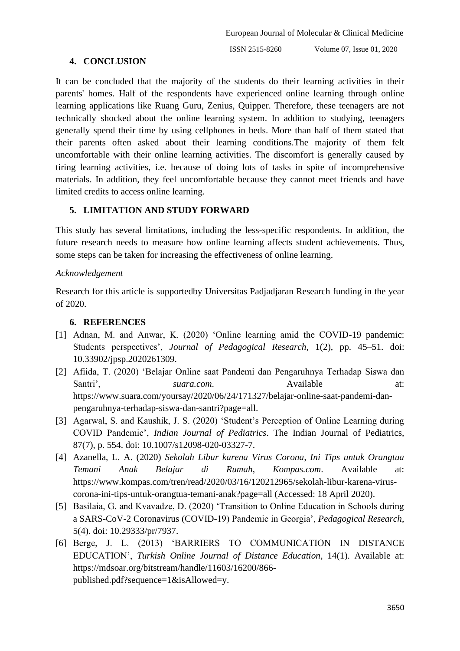## **4. CONCLUSION**

It can be concluded that the majority of the students do their learning activities in their parents' homes. Half of the respondents have experienced online learning through online learning applications like Ruang Guru, Zenius, Quipper. Therefore, these teenagers are not technically shocked about the online learning system. In addition to studying, teenagers generally spend their time by using cellphones in beds. More than half of them stated that their parents often asked about their learning conditions.The majority of them felt uncomfortable with their online learning activities. The discomfort is generally caused by tiring learning activities, i.e. because of doing lots of tasks in spite of incomprehensive materials. In addition, they feel uncomfortable because they cannot meet friends and have limited credits to access online learning.

## **5. LIMITATION AND STUDY FORWARD**

This study has several limitations, including the less-specific respondents. In addition, the future research needs to measure how online learning affects student achievements. Thus, some steps can be taken for increasing the effectiveness of online learning.

#### *Acknowledgement*

Research for this article is supportedby Universitas Padjadjaran Research funding in the year of 2020.

#### **6. REFERENCES**

- [1] Adnan, M. and Anwar, K. (2020) 'Online learning amid the COVID-19 pandemic: Students perspectives', *Journal of Pedagogical Research*, 1(2), pp. 45–51. doi: 10.33902/jpsp.2020261309.
- [2] Afiida, T. (2020) 'Belajar Online saat Pandemi dan Pengaruhnya Terhadap Siswa dan Santri', *suara.com*. Available at: https://www.suara.com/yoursay/2020/06/24/171327/belajar-online-saat-pandemi-danpengaruhnya-terhadap-siswa-dan-santri?page=all.
- [3] Agarwal, S. and Kaushik, J. S. (2020) 'Student's Perception of Online Learning during COVID Pandemic', *Indian Journal of Pediatrics*. The Indian Journal of Pediatrics, 87(7), p. 554. doi: 10.1007/s12098-020-03327-7.
- [4] Azanella, L. A. (2020) *Sekolah Libur karena Virus Corona, Ini Tips untuk Orangtua Temani Anak Belajar di Rumah*, *Kompas.com*. Available at: https://www.kompas.com/tren/read/2020/03/16/120212965/sekolah-libur-karena-viruscorona-ini-tips-untuk-orangtua-temani-anak?page=all (Accessed: 18 April 2020).
- [5] Basilaia, G. and Kvavadze, D. (2020) 'Transition to Online Education in Schools during a SARS-CoV-2 Coronavirus (COVID-19) Pandemic in Georgia', *Pedagogical Research*, 5(4). doi: 10.29333/pr/7937.
- [6] Berge, J. L. (2013) 'BARRIERS TO COMMUNICATION IN DISTANCE EDUCATION', *Turkish Online Journal of Distance Education*, 14(1). Available at: https://mdsoar.org/bitstream/handle/11603/16200/866 published.pdf?sequence=1&isAllowed=y.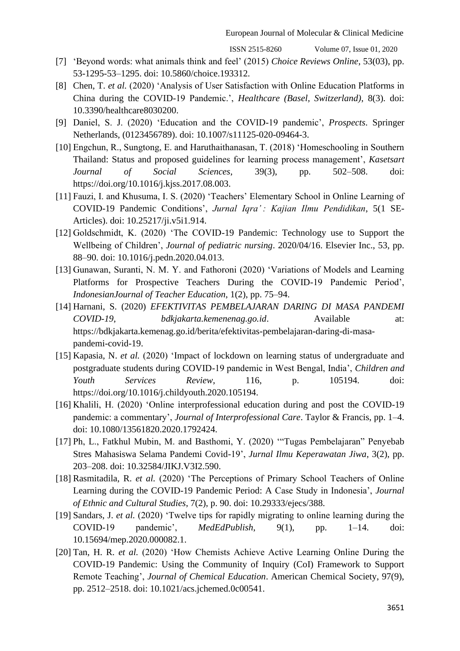$ISSN 2515-8260$  Volume 07, Issue 01, 2020

- [7] 'Beyond words: what animals think and feel' (2015) *Choice Reviews Online*, 53(03), pp. 53-1295-53–1295. doi: 10.5860/choice.193312.
- [8] Chen, T. *et al.* (2020) 'Analysis of User Satisfaction with Online Education Platforms in China during the COVID-19 Pandemic.', *Healthcare (Basel, Switzerland)*, 8(3). doi: 10.3390/healthcare8030200.
- [9] Daniel, S. J. (2020) 'Education and the COVID-19 pandemic', *Prospects*. Springer Netherlands, (0123456789). doi: 10.1007/s11125-020-09464-3.
- [10] Engchun, R., Sungtong, E. and Haruthaithanasan, T. (2018) 'Homeschooling in Southern Thailand: Status and proposed guidelines for learning process management', *Kasetsart Journal of Social Sciences*, 39(3), pp. 502–508. doi: https://doi.org/10.1016/j.kjss.2017.08.003.
- [11] Fauzi, I. and Khusuma, I. S. (2020) 'Teachers' Elementary School in Online Learning of COVID-19 Pandemic Conditions', *Jurnal Iqra' : Kajian Ilmu Pendidikan*, 5(1 SE-Articles). doi: 10.25217/ji.v5i1.914.
- [12] Goldschmidt, K. (2020) 'The COVID-19 Pandemic: Technology use to Support the Wellbeing of Children', *Journal of pediatric nursing*. 2020/04/16. Elsevier Inc., 53, pp. 88–90. doi: 10.1016/j.pedn.2020.04.013.
- [13] Gunawan, Suranti, N. M. Y. and Fathoroni (2020) 'Variations of Models and Learning Platforms for Prospective Teachers During the COVID-19 Pandemic Period', *IndonesianJournal of Teacher Education*, 1(2), pp. 75–94.
- [14] Harnani, S. (2020) *EFEKTIVITAS PEMBELAJARAN DARING DI MASA PANDEMI COVID-19*, *bdkjakarta.kemenenag.go.id*. Available at: https://bdkjakarta.kemenag.go.id/berita/efektivitas-pembelajaran-daring-di-masapandemi-covid-19.
- [15] Kapasia, N. *et al.* (2020) 'Impact of lockdown on learning status of undergraduate and postgraduate students during COVID-19 pandemic in West Bengal, India', *Children and Youth Services Review*, 116, p. 105194. doi: https://doi.org/10.1016/j.childyouth.2020.105194.
- [16] Khalili, H. (2020) 'Online interprofessional education during and post the COVID-19 pandemic: a commentary', *Journal of Interprofessional Care*. Taylor & Francis, pp. 1–4. doi: 10.1080/13561820.2020.1792424.
- [17] Ph, L., Fatkhul Mubin, M. and Basthomi, Y. (2020) '"Tugas Pembelajaran" Penyebab Stres Mahasiswa Selama Pandemi Covid-19', *Jurnal Ilmu Keperawatan Jiwa*, 3(2), pp. 203–208. doi: 10.32584/JIKJ.V3I2.590.
- [18] Rasmitadila, R. *et al.* (2020) 'The Perceptions of Primary School Teachers of Online Learning during the COVID-19 Pandemic Period: A Case Study in Indonesia', *Journal of Ethnic and Cultural Studies*, 7(2), p. 90. doi: 10.29333/ejecs/388.
- [19] Sandars, J. *et al.* (2020) 'Twelve tips for rapidly migrating to online learning during the COVID-19 pandemic', *MedEdPublish*, 9(1), pp. 1–14. doi: 10.15694/mep.2020.000082.1.
- [20] Tan, H. R. *et al.* (2020) 'How Chemists Achieve Active Learning Online During the COVID-19 Pandemic: Using the Community of Inquiry (CoI) Framework to Support Remote Teaching', *Journal of Chemical Education*. American Chemical Society, 97(9), pp. 2512–2518. doi: 10.1021/acs.jchemed.0c00541.